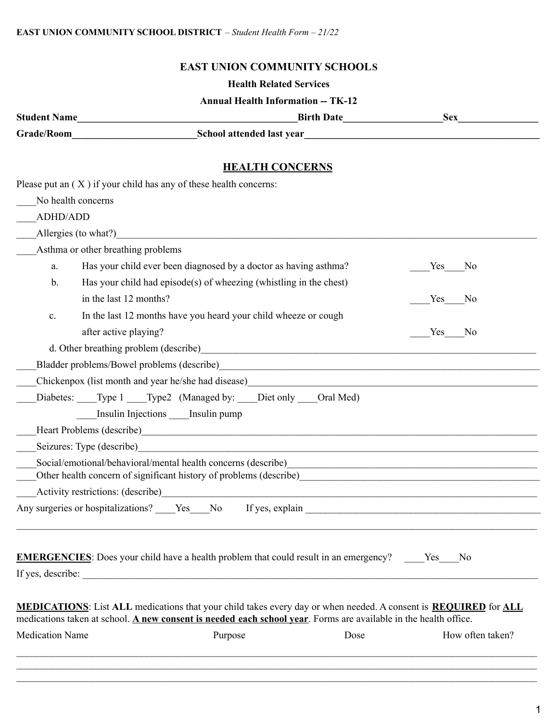## **EAST UNION COMMUNITY SCHOOLS**

#### **Health Related Services**

### **Annual Health Information -- TK-12**

| <b>Student Name</b> | <b>Birth Date</b>         | Sex |
|---------------------|---------------------------|-----|
| Grade/Room          | School attended last year |     |

**HEALTH CONCERNS**

|                        | Please put an $(X)$ if your child has any of these health concerns:                                                                                                                                                                               |                       |
|------------------------|---------------------------------------------------------------------------------------------------------------------------------------------------------------------------------------------------------------------------------------------------|-----------------------|
|                        | No health concerns                                                                                                                                                                                                                                |                       |
| ADHD/ADD               |                                                                                                                                                                                                                                                   |                       |
|                        | Allergies (to what?)                                                                                                                                                                                                                              |                       |
|                        | Asthma or other breathing problems                                                                                                                                                                                                                |                       |
| a.                     | Has your child ever been diagnosed by a doctor as having asthma?                                                                                                                                                                                  | Yes<br>N <sub>0</sub> |
| $\mathbf b$ .          | Has your child had episode(s) of wheezing (whistling in the chest)                                                                                                                                                                                |                       |
|                        | in the last 12 months?                                                                                                                                                                                                                            | Yes<br>N <sub>0</sub> |
| $\mathbf{c}.$          | In the last 12 months have you heard your child wheeze or cough                                                                                                                                                                                   |                       |
|                        | after active playing?                                                                                                                                                                                                                             | Yes<br>N <sub>0</sub> |
|                        |                                                                                                                                                                                                                                                   |                       |
|                        |                                                                                                                                                                                                                                                   |                       |
|                        | Chickenpox (list month and year he/she had disease)<br><u>Listenpox</u> (list month and year he/she had disease)                                                                                                                                  |                       |
|                        | Diabetes: Type 1 Type2 (Managed by: Diet only Oral Med)                                                                                                                                                                                           |                       |
|                        | Insulin Injections Insulin pump                                                                                                                                                                                                                   |                       |
|                        |                                                                                                                                                                                                                                                   |                       |
|                        | Seizures: Type (describe)                                                                                                                                                                                                                         |                       |
|                        | Social/emotional/behavioral/mental health concerns (describe)<br>Other health concern of significant history of problems (describe) example and the concern of significant history of problems (describe)                                         |                       |
|                        |                                                                                                                                                                                                                                                   |                       |
|                        | Any surgeries or hospitalizations? Ves No If yes, explain                                                                                                                                                                                         |                       |
|                        | <b>EMERGENCIES:</b> Does your child have a health problem that could result in an emergency? Yes<br>If yes, describe:                                                                                                                             | N <sub>0</sub>        |
|                        | <b>MEDICATIONS:</b> List ALL medications that your child takes every day or when needed. A consent is <b>REQUIRED</b> for ALL<br>medications taken at school. A new consent is needed each school year. Forms are available in the health office. |                       |
| <b>Medication Name</b> | Dose<br>Purpose                                                                                                                                                                                                                                   | How often taken?      |
|                        |                                                                                                                                                                                                                                                   |                       |

 $\mathcal{L}_\mathcal{L} = \mathcal{L}_\mathcal{L} = \mathcal{L}_\mathcal{L} = \mathcal{L}_\mathcal{L} = \mathcal{L}_\mathcal{L} = \mathcal{L}_\mathcal{L} = \mathcal{L}_\mathcal{L} = \mathcal{L}_\mathcal{L} = \mathcal{L}_\mathcal{L} = \mathcal{L}_\mathcal{L} = \mathcal{L}_\mathcal{L} = \mathcal{L}_\mathcal{L} = \mathcal{L}_\mathcal{L} = \mathcal{L}_\mathcal{L} = \mathcal{L}_\mathcal{L} = \mathcal{L}_\mathcal{L} = \mathcal{L}_\mathcal{L}$